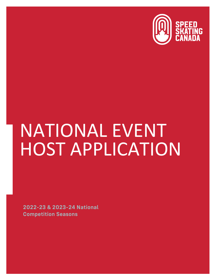

# NATIONAL EVENT HOST APPLICATION

**2022-23 & 2023-24 National Competition Seasons**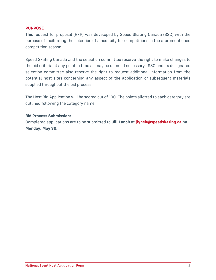#### **PURPOSE**

This request for proposal (RFP) was developed by Speed Skating Canada (SSC) with the purpose of facilitating the selection of a host city for competitions in the aforementioned competition season.

Speed Skating Canada and the selection committee reserve the right to make changes to the bid criteria at any point in time as may be deemed necessary. SSC and its designated selection committee also reserve the right to request additional information from the potential host sites concerning any aspect of the application or subsequent materials supplied throughout the bid process.

The Host Bid Application will be scored out of 100. The points allotted to each category are outlined following the category name.

## **Bid Process Submission:**

Completed applications are to be submitted to **Jill Lynch** at **[jlynch@speedskating.ca](mailto:jlynch@speedskating.ca) by Monday, May 30.**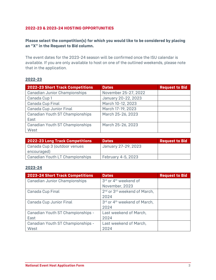## **2022-23 & 2023-24 HOSTING OPPORTUNITIES**

## **Please select the competition(s) for which you would like to be considered by placing an "X" in the Request to Bid column.**

The event dates for the 2023-24 season will be confirmed once the ISU calendar is available. If you are only available to host on one of the outlined weekends, please note that in the application.

## **2022-23**

| <b>2022-23 Short Track Competitions</b> | <b>Dates</b>         | <b>Request to Bid</b> |
|-----------------------------------------|----------------------|-----------------------|
| <b>Canadian Junior Championships</b>    | November 25-27, 2022 |                       |
| Canada Cup 1                            | January 20-22, 2023  |                       |
| Canada Cup Final                        | March 10-12, 2023    |                       |
| Canada Cup Junior Final                 | March 17-19, 2023    |                       |
| <b>Canadian Youth ST Championships</b>  | March 25-26, 2023    |                       |
| East                                    |                      |                       |
| <b>Canadian Youth ST Championships</b>  | March 25-26, 2023    |                       |
| West                                    |                      |                       |

| <b>2022-23 Long Track Competitions</b> | <b>Dates</b>        | <b>Request to Bid</b> |
|----------------------------------------|---------------------|-----------------------|
| Canada Cup 3 (outdoor venues           | January 27-29, 2023 |                       |
| encouraged)                            |                     |                       |
| <b>Canadian Youth LT Championships</b> | February 4-5, 2023  |                       |

#### **2023-24**

| <b>2023-24 Short Track Competitions</b> | <b>Dates</b>                                         | <b>Request to Bid</b> |
|-----------------------------------------|------------------------------------------------------|-----------------------|
| <b>Canadian Junior Championships</b>    | 3rd or 4 <sup>th</sup> weekend of                    |                       |
|                                         | November, 2023                                       |                       |
| Canada Cup Final                        | 2 <sup>nd</sup> or 3 <sup>rd</sup> weekend of March, |                       |
|                                         | 2024                                                 |                       |
| Canada Cup Junior Final                 | 3rd or 4 <sup>th</sup> weekend of March,             |                       |
|                                         | 2024                                                 |                       |
| Canadian Youth ST Championships -       | Last weekend of March,                               |                       |
| East                                    | 2024                                                 |                       |
| Canadian Youth ST Championships -       | Last weekend of March,                               |                       |
| West                                    | 2024                                                 |                       |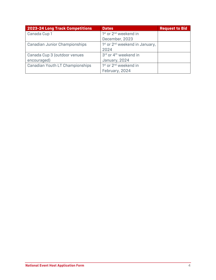| <b>2023-24 Long Track Competitions</b> | <b>Dates</b>                                           | <b>Request to Bid</b> |
|----------------------------------------|--------------------------------------------------------|-----------------------|
| Canada Cup 1                           | 1 <sup>st</sup> or 2 <sup>nd</sup> weekend in          |                       |
|                                        | December, 2023                                         |                       |
| <b>Canadian Junior Championships</b>   | 1 <sup>st</sup> or 2 <sup>nd</sup> weekend in January, |                       |
|                                        | 2024                                                   |                       |
| Canada Cup 3 (outdoor venues           | 3rd or 4 <sup>th</sup> weekend in                      |                       |
| encouraged)                            | January, 2024                                          |                       |
| <b>Canadian Youth LT Championships</b> | 1 <sup>st</sup> or 2 <sup>nd</sup> weekend in          |                       |
|                                        | February, 2024                                         |                       |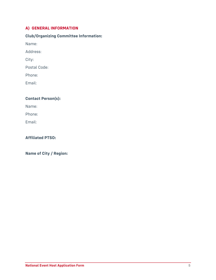## **A) GENERAL INFORMATION**

# **Club/Organizing Committee Information:**

Name:

Address:

City:

Postal Code:

Phone:

Email:

# **Contact Person(s):**

Name:

Phone:

Email:

## **Affiliated PTSO:**

**Name of City / Region:**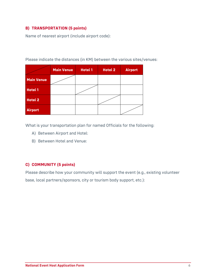## **B) TRANSPORTATION (5 points)**

Name of nearest airport (include airport code):

|                   | <b>Main Venue</b> | <b>Hotel 1</b> | <b>Hotel 2</b> | <b>Airport</b> |
|-------------------|-------------------|----------------|----------------|----------------|
| <b>Main Venue</b> |                   |                |                |                |
| <b>Hotel 1</b>    |                   |                |                |                |
| <b>Hotel 2</b>    |                   |                |                |                |
| <b>Airport</b>    |                   |                |                |                |

Please indicate the distances (in KM) between the various sites/venues:

What is your transportation plan for named Officials for the following:

- A) Between Airport and Hotel:
- B) Between Hotel and Venue:

## **C) COMMUNITY (5 points)**

Please describe how your community will support the event (e.g., existing volunteer base, local partners/sponsors, city or tourism body support, etc.):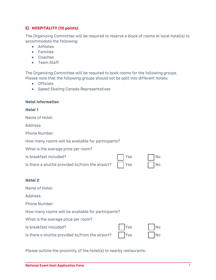## **E) HOSPITALITY (10 points)**

The Organizing Committee will be required to reserve a block of rooms at local hotel(s) to accommodate the following:

- Athletes
- Families
- Coaches
- Team Staff

The Organizing Committee will be required to book rooms for the following groups. Please note that the following groups should not be split into different hotels:

- Officials
- Speed Skating Canada Representatives

#### **Hotel Information**

#### *Hotel 1*

| Name of Hotel:                                     |     |    |
|----------------------------------------------------|-----|----|
| Address:                                           |     |    |
| <b>Phone Number:</b>                               |     |    |
| How many rooms will be available for participants? |     |    |
| What is the average price per room?                |     |    |
| Is breakfast included?                             | Yes | No |
| Is there a shuttle provided to/from the airport?   | Yes | No |
|                                                    |     |    |
| Hotel 2                                            |     |    |
| Name of Hotel:                                     |     |    |
| Address:                                           |     |    |
| <b>Phone Number:</b>                               |     |    |
| How many rooms will be available for participants? |     |    |
|                                                    |     |    |

What is the average price per room?

Is breakfast included? Yes No

Is there a shuttle provided to/from the airport? Yes No

| airport? | <b>Paragona</b> Yes | $\vert$ $\vert$ N |
|----------|---------------------|-------------------|
|          |                     |                   |

Please outline the proximity of the hotel(s) to nearby restaurants: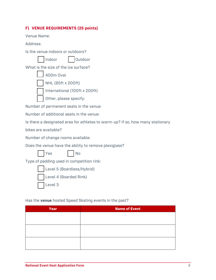## **F) VENUE REQUIREMENTS (25 points)**

Venue Name:

Address:

Is the venue indoors or outdoors?

| Outdoor<br>  Indoor |  |
|---------------------|--|
|---------------------|--|

What is the size of the ice surface?

| 400m Oval                     |
|-------------------------------|
| NHL (85ft x 200ft)            |
| International (100ft x 200ft) |
|                               |

Other, please specify:

Number of permanent seats in the venue:

Number of additional seats in the venue:

Is there a designated area for athletes to warm-up? If so, how many stationary

bikes are available?

Number of change rooms available:

Does the venue have the ability to remove plexiglass?

Yes | No

Type of padding used in competition rink:

Level 5 (Boardless/Hybrid)

Level 4 (Boarded Rink)

Level 3

## Has the **venue** hosted Speed Skating events in the past?

| Year | <b>Name of Event</b> |  |
|------|----------------------|--|
|      |                      |  |
|      |                      |  |
|      |                      |  |
|      |                      |  |
|      |                      |  |
|      |                      |  |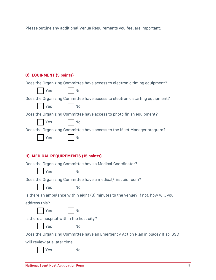Please outline any additional Venue Requirements you feel are important:

# **G) EQUIPMENT (5 points)**

| Does the Organizing Committee have access to electronic timing equipment?         |
|-----------------------------------------------------------------------------------|
| Yes<br><b>No</b>                                                                  |
| Does the Organizing Committee have access to electronic starting equipment?       |
| Yes<br><b>No</b>                                                                  |
| Does the Organizing Committee have access to photo finish equipment?              |
| <b>No</b><br>Yes                                                                  |
| Does the Organizing Committee have access to the Meet Manager program?            |
| Yes<br><b>No</b>                                                                  |
|                                                                                   |
| H) MEDICAL REQUIREMENTS (15 points)                                               |
| Does the Organizing Committee have a Medical Coordinator?                         |
| Yes<br><b>No</b>                                                                  |
| Does the Organizing Committee have a medical/first aid room?                      |
| <b>No</b><br>Yes                                                                  |
| Is there an ambulance within eight (8) minutes to the venue? If not, how will you |
| address this?                                                                     |
| Yes<br><b>No</b>                                                                  |
| Is there a hospital within the host city?                                         |
| Yes<br><b>No</b>                                                                  |
| Does the Organizing Committee have an Emergency Action Plan in place? If so, SSC  |
| will review at a later time.                                                      |
| No<br>Yes                                                                         |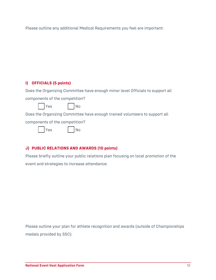Please outline any additional Medical Requirements you feel are important:

## **I) OFFICIALS (5 points)**

Does the Organizing Committee have enough minor level Officials to support all components of the competition?

Yes I No

Does the Organizing Committee have enough trained volunteers to support all

components of the competition?

|  | Yes |  |
|--|-----|--|
|--|-----|--|

## **J) PUBLIC RELATIONS AND AWARDS (10 points)**

N<sub>o</sub>

Please briefly outline your public relations plan focusing on local promotion of the event and strategies to increase attendance:

Please outline your plan for athlete recognition and awards (outside of Championships medals provided by SSC):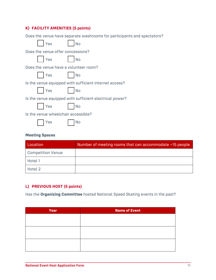## **K) FACILITY AMENITIES (5 points)**

Does the venue have separate washrooms for participants and spectators?

| Yes                                                     | No        |  |
|---------------------------------------------------------|-----------|--|
| Does the venue offer concessions?                       |           |  |
| Yes                                                     | <b>No</b> |  |
| Does the venue have a volunteer room?                   |           |  |
| Yes                                                     | No        |  |
| Is the venue equipped with sufficient internet access?  |           |  |
| Yes                                                     | <b>No</b> |  |
| Is the venue equipped with sufficient electrical power? |           |  |
| Yes                                                     | <b>No</b> |  |
| Is the venue wheelchair accessible?                     |           |  |
| Yes                                                     |           |  |

## **Meeting Spaces**

| Location                 | Number of meeting rooms that can accommodate ~15 people |
|--------------------------|---------------------------------------------------------|
| <b>Competition Venue</b> |                                                         |
| Hotel 1                  |                                                         |
| Hotel 2                  |                                                         |

## **L) PREVIOUS HOST (5 points)**

Has the **Organizing Committee** hosted National Speed Skating events in the past?

| Year | Name of Event |
|------|---------------|
|      |               |
|      |               |
|      |               |
|      |               |
|      |               |
|      |               |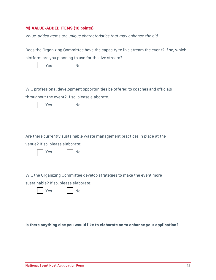# **M) VALUE-ADDED ITEMS (10 points)**

*Value-added items are unique characteristics that may enhance the bid.*

| Does the Organizing Committee have the capacity to live stream the event? If so, which |  |  |
|----------------------------------------------------------------------------------------|--|--|
| platform are you planning to use for the live stream?                                  |  |  |
| Yes<br><b>No</b>                                                                       |  |  |
|                                                                                        |  |  |
| Will professional development opportunities be offered to coaches and officials        |  |  |
| throughout the event? If so, please elaborate.                                         |  |  |
| Yes<br>No                                                                              |  |  |
|                                                                                        |  |  |
|                                                                                        |  |  |
|                                                                                        |  |  |
| Are there currently sustainable waste management practices in place at the             |  |  |
| venue? If so, please elaborate:                                                        |  |  |
| No<br>Yes                                                                              |  |  |
|                                                                                        |  |  |
|                                                                                        |  |  |
| Will the Organizing Committee develop strategies to make the event more                |  |  |
| sustainable? If so, please elaborate:                                                  |  |  |
| No<br>Yes                                                                              |  |  |
|                                                                                        |  |  |
|                                                                                        |  |  |

**Is there anything else you would like to elaborate on to enhance your application?**